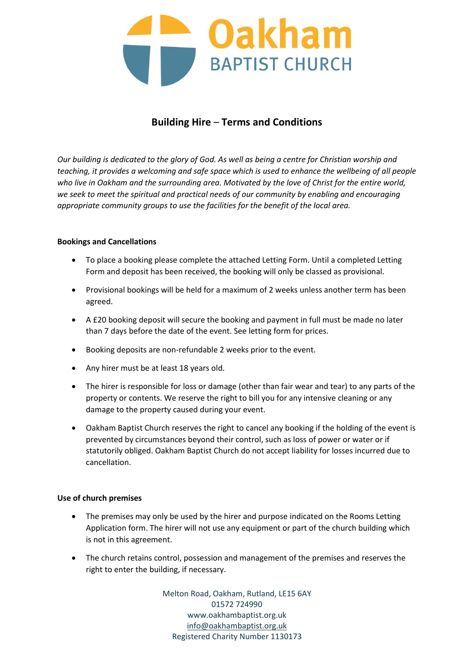

# **Building Hire** – **Terms and Conditions**

*Our building is dedicated to the glory of God. As well as being a centre for Christian worship and teaching, it provides a welcoming and safe space which is used to enhance the wellbeing of all people who live in Oakham and the surrounding area. Motivated by the love of Christ for the entire world, we seek to meet the spiritual and practical needs of our community by enabling and encouraging appropriate community groups to use the facilities for the benefit of the local area.* 

## **Bookings and Cancellations**

- To place a booking please complete the attached Letting Form. Until a completed Letting Form and deposit has been received, the booking will only be classed as provisional.
- Provisional bookings will be held for a maximum of 2 weeks unless another term has been agreed.
- A £20 booking deposit will secure the booking and payment in full must be made no later than 7 days before the date of the event. See letting form for prices.
- Booking deposits are non-refundable 2 weeks prior to the event.
- Any hirer must be at least 18 years old.
- The hirer is responsible for loss or damage (other than fair wear and tear) to any parts of the property or contents. We reserve the right to bill you for any intensive cleaning or any damage to the property caused during your event.
- Oakham Baptist Church reserves the right to cancel any booking if the holding of the event is prevented by circumstances beyond their control, such as loss of power or water or if statutorily obliged. Oakham Baptist Church do not accept liability for losses incurred due to cancellation.

#### **Use of church premises**

- The premises may only be used by the hirer and purpose indicated on the Rooms Letting Application form. The hirer will not use any equipment or part of the church building which is not in this agreement.
- The church retains control, possession and management of the premises and reserves the right to enter the building, if necessary.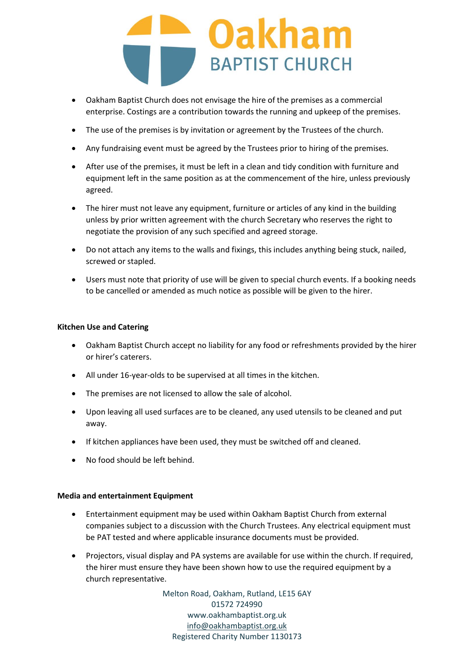

- Oakham Baptist Church does not envisage the hire of the premises as a commercial enterprise. Costings are a contribution towards the running and upkeep of the premises.
- The use of the premises is by invitation or agreement by the Trustees of the church.
- Any fundraising event must be agreed by the Trustees prior to hiring of the premises.
- After use of the premises, it must be left in a clean and tidy condition with furniture and equipment left in the same position as at the commencement of the hire, unless previously agreed.
- The hirer must not leave any equipment, furniture or articles of any kind in the building unless by prior written agreement with the church Secretary who reserves the right to negotiate the provision of any such specified and agreed storage.
- Do not attach any items to the walls and fixings, this includes anything being stuck, nailed, screwed or stapled.
- Users must note that priority of use will be given to special church events. If a booking needs to be cancelled or amended as much notice as possible will be given to the hirer.

## **Kitchen Use and Catering**

- Oakham Baptist Church accept no liability for any food or refreshments provided by the hirer or hirer's caterers.
- All under 16-year-olds to be supervised at all times in the kitchen.
- The premises are not licensed to allow the sale of alcohol.
- Upon leaving all used surfaces are to be cleaned, any used utensils to be cleaned and put away.
- If kitchen appliances have been used, they must be switched off and cleaned.
- No food should be left behind.

#### **Media and entertainment Equipment**

- Entertainment equipment may be used within Oakham Baptist Church from external companies subject to a discussion with the Church Trustees. Any electrical equipment must be PAT tested and where applicable insurance documents must be provided.
- Projectors, visual display and PA systems are available for use within the church. If required, the hirer must ensure they have been shown how to use the required equipment by a church representative.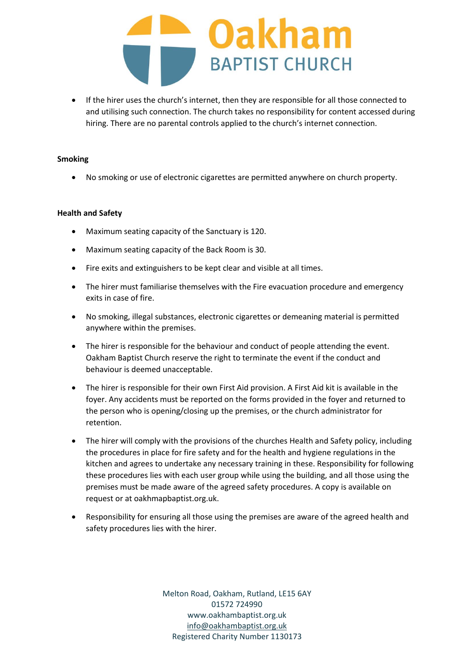

• If the hirer uses the church's internet, then they are responsible for all those connected to and utilising such connection. The church takes no responsibility for content accessed during hiring. There are no parental controls applied to the church's internet connection.

#### **Smoking**

• No smoking or use of electronic cigarettes are permitted anywhere on church property.

#### **Health and Safety**

- Maximum seating capacity of the Sanctuary is 120.
- Maximum seating capacity of the Back Room is 30.
- Fire exits and extinguishers to be kept clear and visible at all times.
- The hirer must familiarise themselves with the Fire evacuation procedure and emergency exits in case of fire.
- No smoking, illegal substances, electronic cigarettes or demeaning material is permitted anywhere within the premises.
- The hirer is responsible for the behaviour and conduct of people attending the event. Oakham Baptist Church reserve the right to terminate the event if the conduct and behaviour is deemed unacceptable.
- The hirer is responsible for their own First Aid provision. A First Aid kit is available in the foyer. Any accidents must be reported on the forms provided in the foyer and returned to the person who is opening/closing up the premises, or the church administrator for retention.
- The hirer will comply with the provisions of the churches Health and Safety policy, including the procedures in place for fire safety and for the health and hygiene regulations in the kitchen and agrees to undertake any necessary training in these. Responsibility for following these procedures lies with each user group while using the building, and all those using the premises must be made aware of the agreed safety procedures. A copy is available on request or at oakhmapbaptist.org.uk.
- Responsibility for ensuring all those using the premises are aware of the agreed health and safety procedures lies with the hirer.